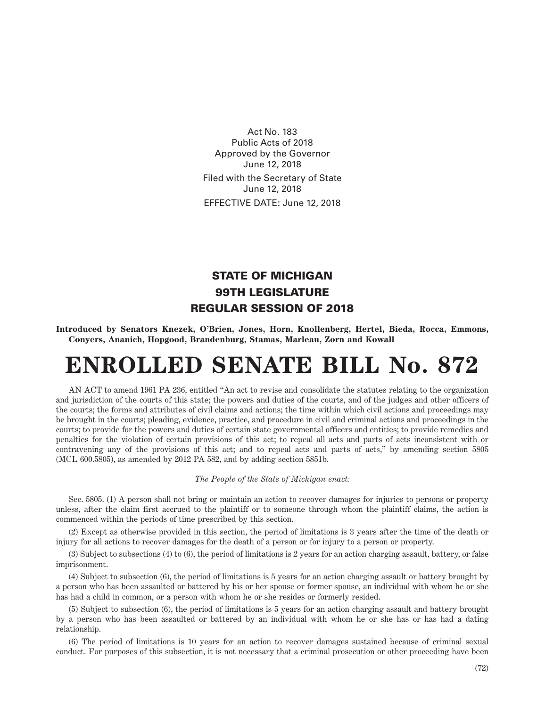Act No. 183 Public Acts of 2018 Approved by the Governor June 12, 2018 Filed with the Secretary of State June 12, 2018 EFFECTIVE DATE: June 12, 2018

## STATE OF MICHIGAN 99TH LEGISLATURE REGULAR SESSION OF 2018

**Introduced by Senators Knezek, O'Brien, Jones, Horn, Knollenberg, Hertel, Bieda, Rocca, Emmons, Conyers, Ananich, Hopgood, Brandenburg, Stamas, Marleau, Zorn and Kowall**

## **ENROLLED SENATE BILL No. 872**

AN ACT to amend 1961 PA 236, entitled "An act to revise and consolidate the statutes relating to the organization and jurisdiction of the courts of this state; the powers and duties of the courts, and of the judges and other officers of the courts; the forms and attributes of civil claims and actions; the time within which civil actions and proceedings may be brought in the courts; pleading, evidence, practice, and procedure in civil and criminal actions and proceedings in the courts; to provide for the powers and duties of certain state governmental officers and entities; to provide remedies and penalties for the violation of certain provisions of this act; to repeal all acts and parts of acts inconsistent with or contravening any of the provisions of this act; and to repeal acts and parts of acts," by amending section 5805 (MCL 600.5805), as amended by 2012 PA 582, and by adding section 5851b.

## *The People of the State of Michigan enact:*

Sec. 5805. (1) A person shall not bring or maintain an action to recover damages for injuries to persons or property unless, after the claim first accrued to the plaintiff or to someone through whom the plaintiff claims, the action is commenced within the periods of time prescribed by this section.

(2) Except as otherwise provided in this section, the period of limitations is 3 years after the time of the death or injury for all actions to recover damages for the death of a person or for injury to a person or property.

(3) Subject to subsections (4) to (6), the period of limitations is 2 years for an action charging assault, battery, or false imprisonment.

(4) Subject to subsection (6), the period of limitations is 5 years for an action charging assault or battery brought by a person who has been assaulted or battered by his or her spouse or former spouse, an individual with whom he or she has had a child in common, or a person with whom he or she resides or formerly resided.

(5) Subject to subsection (6), the period of limitations is 5 years for an action charging assault and battery brought by a person who has been assaulted or battered by an individual with whom he or she has or has had a dating relationship.

(6) The period of limitations is 10 years for an action to recover damages sustained because of criminal sexual conduct. For purposes of this subsection, it is not necessary that a criminal prosecution or other proceeding have been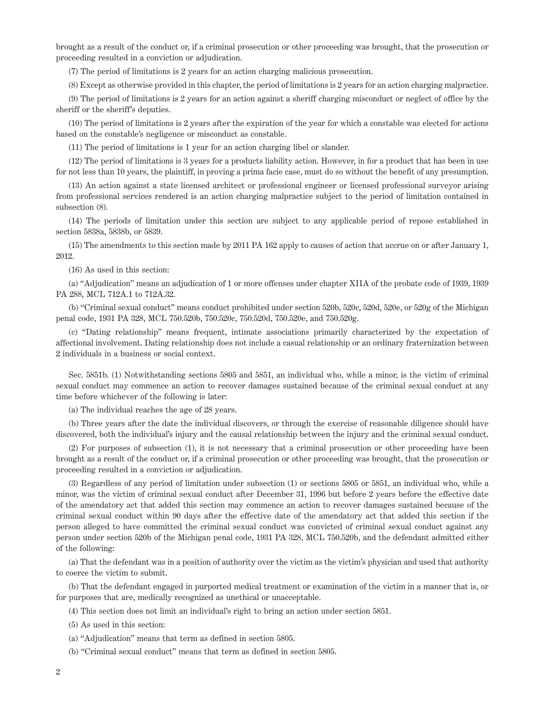brought as a result of the conduct or, if a criminal prosecution or other proceeding was brought, that the prosecution or proceeding resulted in a conviction or adjudication.

(7) The period of limitations is 2 years for an action charging malicious prosecution.

(8) Except as otherwise provided in this chapter, the period of limitations is 2 years for an action charging malpractice.

(9) The period of limitations is 2 years for an action against a sheriff charging misconduct or neglect of office by the sheriff or the sheriff's deputies.

(10) The period of limitations is 2 years after the expiration of the year for which a constable was elected for actions based on the constable's negligence or misconduct as constable.

(11) The period of limitations is 1 year for an action charging libel or slander.

(12) The period of limitations is 3 years for a products liability action. However, in for a product that has been in use for not less than 10 years, the plaintiff, in proving a prima facie case, must do so without the benefit of any presumption.

(13) An action against a state licensed architect or professional engineer or licensed professional surveyor arising from professional services rendered is an action charging malpractice subject to the period of limitation contained in subsection (8).

(14) The periods of limitation under this section are subject to any applicable period of repose established in section 5838a, 5838b, or 5839.

(15) The amendments to this section made by 2011 PA 162 apply to causes of action that accrue on or after January 1, 2012.

(16) As used in this section:

(a) "Adjudication" means an adjudication of 1 or more offenses under chapter XIIA of the probate code of 1939, 1939 PA 288, MCL 712A.1 to 712A.32.

(b) "Criminal sexual conduct" means conduct prohibited under section 520b, 520c, 520d, 520e, or 520g of the Michigan penal code, 1931 PA 328, MCL 750.520b, 750.520c, 750.520d, 750.520e, and 750.520g.

(c) "Dating relationship" means frequent, intimate associations primarily characterized by the expectation of affectional involvement. Dating relationship does not include a casual relationship or an ordinary fraternization between 2 individuals in a business or social context.

Sec. 5851b. (1) Notwithstanding sections 5805 and 5851, an individual who, while a minor, is the victim of criminal sexual conduct may commence an action to recover damages sustained because of the criminal sexual conduct at any time before whichever of the following is later:

(a) The individual reaches the age of 28 years.

(b) Three years after the date the individual discovers, or through the exercise of reasonable diligence should have discovered, both the individual's injury and the causal relationship between the injury and the criminal sexual conduct.

(2) For purposes of subsection (1), it is not necessary that a criminal prosecution or other proceeding have been brought as a result of the conduct or, if a criminal prosecution or other proceeding was brought, that the prosecution or proceeding resulted in a conviction or adjudication.

(3) Regardless of any period of limitation under subsection (1) or sections 5805 or 5851, an individual who, while a minor, was the victim of criminal sexual conduct after December 31, 1996 but before 2 years before the effective date of the amendatory act that added this section may commence an action to recover damages sustained because of the criminal sexual conduct within 90 days after the effective date of the amendatory act that added this section if the person alleged to have committed the criminal sexual conduct was convicted of criminal sexual conduct against any person under section 520b of the Michigan penal code, 1931 PA 328, MCL 750.520b, and the defendant admitted either of the following:

(a) That the defendant was in a position of authority over the victim as the victim's physician and used that authority to coerce the victim to submit.

(b) That the defendant engaged in purported medical treatment or examination of the victim in a manner that is, or for purposes that are, medically recognized as unethical or unacceptable.

(4) This section does not limit an individual's right to bring an action under section 5851.

(5) As used in this section:

(a) "Adjudication" means that term as defined in section 5805.

(b) "Criminal sexual conduct" means that term as defined in section 5805.